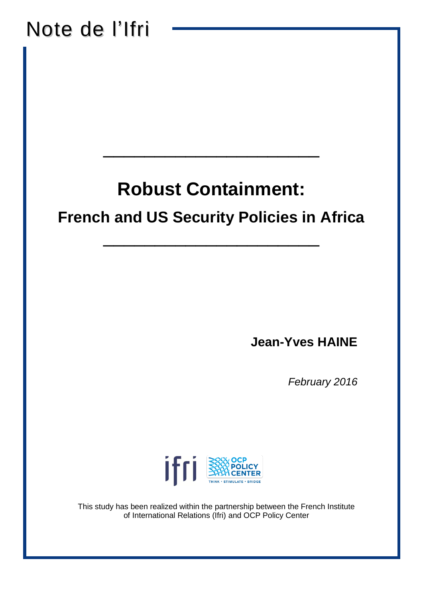# Note de l'Ifri\_\_\_\_\_\_\_\_\_\_\_\_\_\_\_\_\_\_\_\_\_ **Robust Containment: French and US Security Policies in Africa**  \_\_\_\_\_\_\_\_\_\_\_\_\_\_\_\_\_\_\_\_\_ **Jean-Yves HAINE** *February 2016* ifri I This study has been realized within the partnership between the French Institute of International Relations (Ifri) and OCP Policy Center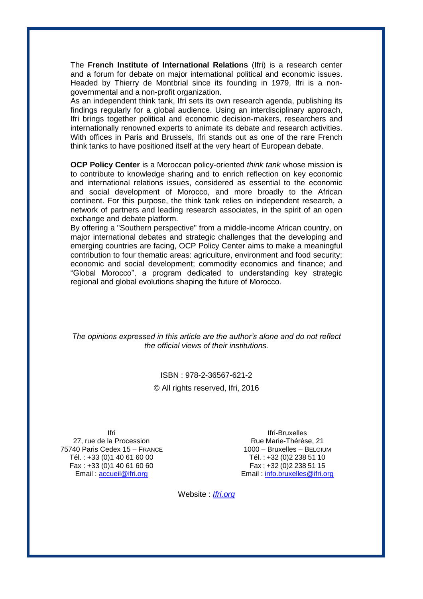The **French Institute of International Relations** (Ifri) is a research center and a forum for debate on major international political and economic issues. Headed by Thierry de Montbrial since its founding in 1979, Ifri is a nongovernmental and a non-profit organization.

As an independent think tank, Ifri sets its own research agenda, publishing its findings regularly for a global audience. Using an interdisciplinary approach, Ifri brings together political and economic decision-makers, researchers and internationally renowned experts to animate its debate and research activities. With offices in Paris and Brussels, Ifri stands out as one of the rare French think tanks to have positioned itself at the very heart of European debate.

**OCP Policy Center** is a Moroccan policy-oriented *think tank* whose mission is to contribute to knowledge sharing and to enrich reflection on key economic and international relations issues, considered as essential to the economic and social development of Morocco, and more broadly to the African continent. For this purpose, the think tank relies on independent research, a network of partners and leading research associates, in the spirit of an open exchange and debate platform.

By offering a "Southern perspective" from a middle-income African country, on major international debates and strategic challenges that the developing and emerging countries are facing, OCP Policy Center aims to make a meaningful contribution to four thematic areas: agriculture, environment and food security; economic and social development; commodity economics and finance; and "Global Morocco", a program dedicated to understanding key strategic regional and global evolutions shaping the future of Morocco.

*The opinions expressed in this article are the author's alone and do not reflect the official views of their institutions.*

> ISBN : 978-2-36567-621-2 © All rights reserved, Ifri, 2016

Ifri 27, rue de la Procession 75740 Paris Cedex 15 – FRANCE Tél. : +33 (0)1 40 61 60 00 Fax : +33 (0)1 40 61 60 60 Email : [accueil@ifri.org](mailto:accueil@ifri.org)

Ifri-Bruxelles Rue Marie-Thérèse, 21 1000 – Bruxelles – BELGIUM Tél. : +32 (0)2 238 51 10 Fax : +32 (0)2 238 51 15 Email : [info.bruxelles@ifri.org](mailto:info.bruxelles@ifri.org)

Website : *Ifri.org*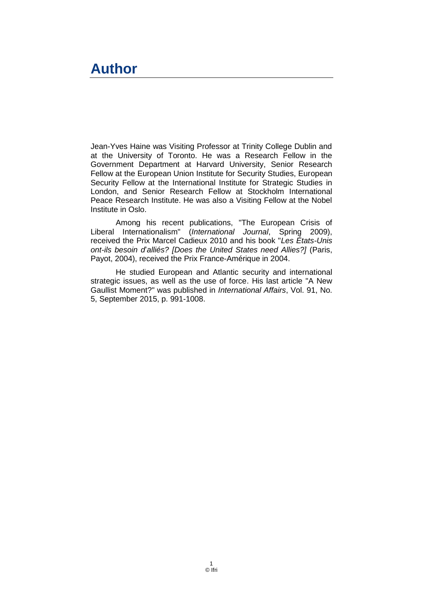#### **Author**

Jean-Yves Haine was Visiting Professor at Trinity College Dublin and at the University of Toronto. He was a Research Fellow in the Government Department at Harvard University, Senior Research Fellow at the European Union Institute for Security Studies, European Security Fellow at the International Institute for Strategic Studies in London, and Senior Research Fellow at Stockholm International Peace Research Institute. He was also a Visiting Fellow at the Nobel Institute in Oslo.

Among his recent publications, "The European Crisis of Liberal Internationalism" (*International Journal*, Spring 2009), received the Prix Marcel Cadieux 2010 and his book "*Les États-Unis ont-ils besoin d*'*alliés? [Does the United States need Allies?]* (Paris, Payot, 2004), received the Prix France-Amérique in 2004.

He studied European and Atlantic security and international strategic issues, as well as the use of force. His last article "A New Gaullist Moment?" was published in *International Affairs*, Vol. 91, No. 5, September 2015, p. 991-1008.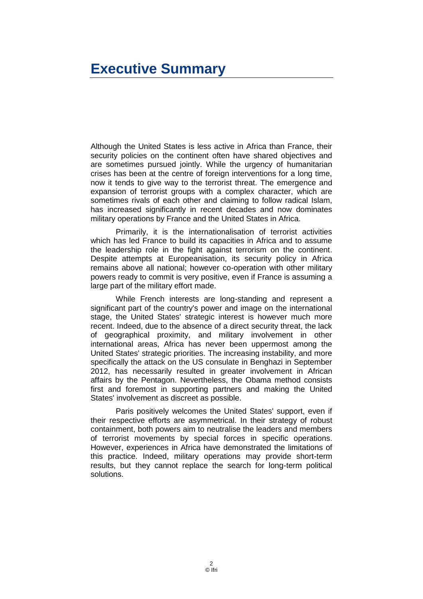# **Executive Summary**

Although the United States is less active in Africa than France, their security policies on the continent often have shared objectives and are sometimes pursued jointly. While the urgency of humanitarian crises has been at the centre of foreign interventions for a long time, now it tends to give way to the terrorist threat. The emergence and expansion of terrorist groups with a complex character, which are sometimes rivals of each other and claiming to follow radical Islam, has increased significantly in recent decades and now dominates military operations by France and the United States in Africa.

Primarily, it is the internationalisation of terrorist activities which has led France to build its capacities in Africa and to assume the leadership role in the fight against terrorism on the continent. Despite attempts at Europeanisation, its security policy in Africa remains above all national; however co-operation with other military powers ready to commit is very positive, even if France is assuming a large part of the military effort made.

While French interests are long-standing and represent a significant part of the country's power and image on the international stage, the United States' strategic interest is however much more recent. Indeed, due to the absence of a direct security threat, the lack of geographical proximity, and military involvement in other international areas, Africa has never been uppermost among the United States' strategic priorities. The increasing instability, and more specifically the attack on the US consulate in Benghazi in September 2012, has necessarily resulted in greater involvement in African affairs by the Pentagon. Nevertheless, the Obama method consists first and foremost in supporting partners and making the United States' involvement as discreet as possible.

Paris positively welcomes the United States' support, even if their respective efforts are asymmetrical. In their strategy of robust containment, both powers aim to neutralise the leaders and members of terrorist movements by special forces in specific operations. However, experiences in Africa have demonstrated the limitations of this practice. Indeed, military operations may provide short-term results, but they cannot replace the search for long-term political solutions.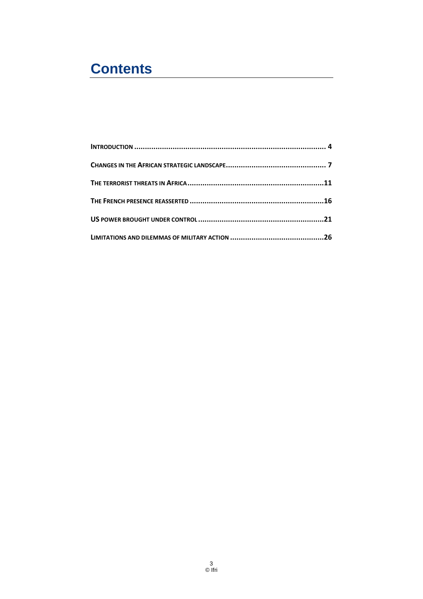# **Contents**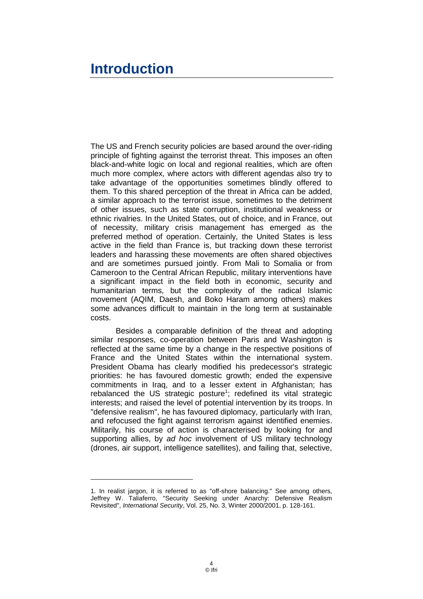# <span id="page-5-0"></span>**Introduction**

-

The US and French security policies are based around the over-riding principle of fighting against the terrorist threat. This imposes an often black-and-white logic on local and regional realities, which are often much more complex, where actors with different agendas also try to take advantage of the opportunities sometimes blindly offered to them. To this shared perception of the threat in Africa can be added, a similar approach to the terrorist issue, sometimes to the detriment of other issues, such as state corruption, institutional weakness or ethnic rivalries. In the United States, out of choice, and in France, out of necessity, military crisis management has emerged as the preferred method of operation. Certainly, the United States is less active in the field than France is, but tracking down these terrorist leaders and harassing these movements are often shared objectives and are sometimes pursued jointly. From Mali to Somalia or from Cameroon to the Central African Republic, military interventions have a significant impact in the field both in economic, security and humanitarian terms, but the complexity of the radical Islamic movement (AQIM, Daesh, and Boko Haram among others) makes some advances difficult to maintain in the long term at sustainable costs.

Besides a comparable definition of the threat and adopting similar responses, co-operation between Paris and Washington is reflected at the same time by a change in the respective positions of France and the United States within the international system. President Obama has clearly modified his predecessor's strategic priorities: he has favoured domestic growth; ended the expensive commitments in Iraq, and to a lesser extent in Afghanistan; has rebalanced the US strategic posture<sup>1</sup>; redefined its vital strategic interests; and raised the level of potential intervention by its troops. In "defensive realism", he has favoured diplomacy, particularly with Iran, and refocused the fight against terrorism against identified enemies. Militarily, his course of action is characterised by looking for and supporting allies, by *ad hoc* involvement of US military technology (drones, air support, intelligence satellites), and failing that, selective,

<sup>1.</sup> In realist jargon, it is referred to as "off-shore balancing." See among others, Jeffrey W. Taliaferro, "Security Seeking under Anarchy: Defensive Realism Revisited", *International Security*, Vol. 25, No. 3, Winter 2000/2001, p. 128-161.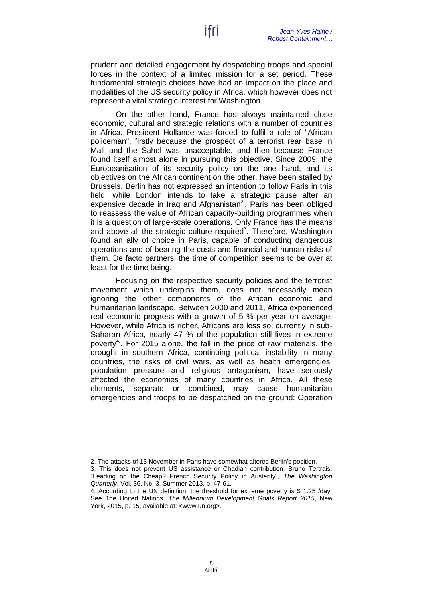prudent and detailed engagement by despatching troops and special forces in the context of a limited mission for a set period. These fundamental strategic choices have had an impact on the place and modalities of the US security policy in Africa, which however does not represent a vital strategic interest for Washington.

On the other hand, France has always maintained close economic, cultural and strategic relations with a number of countries in Africa. President Hollande was forced to fulfil a role of "African policeman", firstly because the prospect of a terrorist rear base in Mali and the Sahel was unacceptable, and then because France found itself almost alone in pursuing this objective. Since 2009, the Europeanisation of its security policy on the one hand, and its objectives on the African continent on the other, have been stalled by Brussels. Berlin has not expressed an intention to follow Paris in this field, while London intends to take a strategic pause after an expensive decade in Iraq and Afghanistan<sup>2</sup>. Paris has been obliged to reassess the value of African capacity-building programmes when it is a question of large-scale operations. Only France has the means and above all the strategic culture required<sup>3</sup>. Therefore, Washington found an ally of choice in Paris, capable of conducting dangerous operations and of bearing the costs and financial and human risks of them. De facto partners, the time of competition seems to be over at least for the time being.

Focusing on the respective security policies and the terrorist movement which underpins them, does not necessarily mean ignoring the other components of the African economic and humanitarian landscape. Between 2000 and 2011, Africa experienced real economic progress with a growth of 5 % per year on average. However, while Africa is richer, Africans are less so: currently in sub-Saharan Africa, nearly 47 % of the population still lives in extreme poverty<sup>4</sup>. For 2015 alone, the fall in the price of raw materials, the drought in southern Africa, continuing political instability in many countries, the risks of civil wars, as well as health emergencies, population pressure and religious antagonism, have seriously affected the economies of many countries in Africa. All these elements, separate or combined, may cause humanitarian emergencies and troops to be despatched on the ground: Operation

<sup>2.</sup> The attacks of 13 November in Paris have somewhat altered Berlin's position.

<sup>3.</sup> This does not prevent US assistance or Chadian contribution. Bruno Tertrais, "Leading on the Cheap? French Security Policy in Austerity", *The Washington Quarterly*, Vol. 36, No. 3, Summer 2013, p. 47-61.

<sup>4.</sup> According to the UN definition, the threshold for extreme poverty is \$ 1.25 /day. See The United Nations, *The Millennium Development Goals Report 2015*, New York, 2015, p. 15, available at: [<www.un.org>](http://www.un.org/millenniumgoals/2015_MDG_Report/pdf/MDG%202015%20rev%20(July%201).pdf).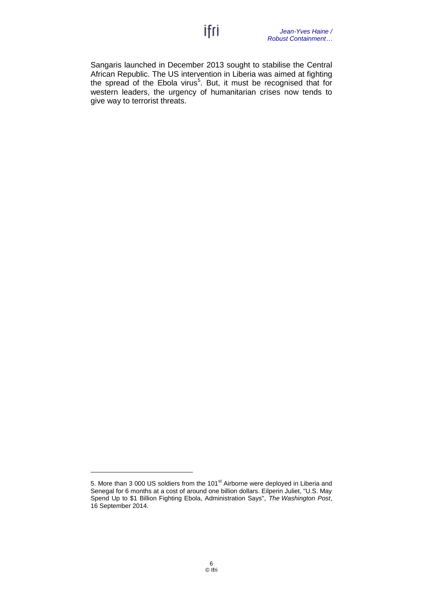Sangaris launched in December 2013 sought to stabilise the Central African Republic. The US intervention in Liberia was aimed at fighting the spread of the Ebola virus<sup>5</sup>. But, it must be recognised that for western leaders, the urgency of humanitarian crises now tends to give way to terrorist threats.

<sup>5.</sup> More than 3 000 US soldiers from the 101<sup>st</sup> Airborne were deployed in Liberia and Senegal for 6 months at a cost of around one billion dollars. Eilperin Juliet, "U.S. May Spend Up to \$1 Billion Fighting Ebola, Administration Says", *The Washington Post*, 16 September 2014.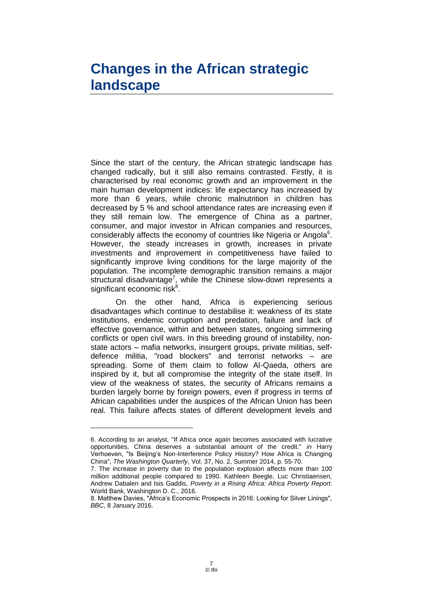# <span id="page-8-0"></span>**Changes in the African strategic landscape**

Since the start of the century, the African strategic landscape has changed radically, but it still also remains contrasted. Firstly, it is characterised by real economic growth and an improvement in the main human development indices: life expectancy has increased by more than 6 years, while chronic malnutrition in children has decreased by 5 % and school attendance rates are increasing even if they still remain low. The emergence of China as a partner, consumer, and major investor in African companies and resources, considerably affects the economy of countries like Nigeria or Angola<sup>6</sup>. However, the steady increases in growth, increases in private investments and improvement in competitiveness have failed to significantly improve living conditions for the large majority of the population. The incomplete demographic transition remains a major structural disadvantage<sup>7</sup>, while the Chinese slow-down represents a significant economic risk<sup>8</sup>.

On the other hand, Africa is experiencing serious disadvantages which continue to destabilise it: weakness of its state institutions, endemic corruption and predation, failure and lack of effective governance, within and between states, ongoing simmering conflicts or open civil wars. In this breeding ground of instability, nonstate actors – mafia networks, insurgent groups, private militias, selfdefence militia, "road blockers" and terrorist networks – are spreading. Some of them claim to follow Al-Qaeda, others are inspired by it, but all compromise the integrity of the state itself. In view of the weakness of states, the security of Africans remains a burden largely borne by foreign powers, even if progress in terms of African capabilities under the auspices of the African Union has been real. This failure affects states of different development levels and

<sup>6.</sup> According to an analyst, "If Africa once again becomes associated with lucrative opportunities, China deserves a substantial amount of the credit." *in* Harry Verhoeven, "Is Beijing's Non-Interference Policy History? How Africa is Changing China", *The Washington Quarterly*, Vol. 37, No. 2, Summer 2014, p. 55-70.

<sup>7.</sup> The increase in poverty due to the population explosion affects more than 100 million additional people compared to 1990. Kathleen Beegle, Luc Christiaensen, Andrew Dabalen and Isis Gaddis, *Poverty in a Rising Africa: Africa Poverty Report*. World Bank, Washington D. C., 2016.

<sup>8.</sup> Matthew Davies, "Africa's Economic Prospects in 2016: Looking for Silver Linings", *BBC*, 8 January 2016.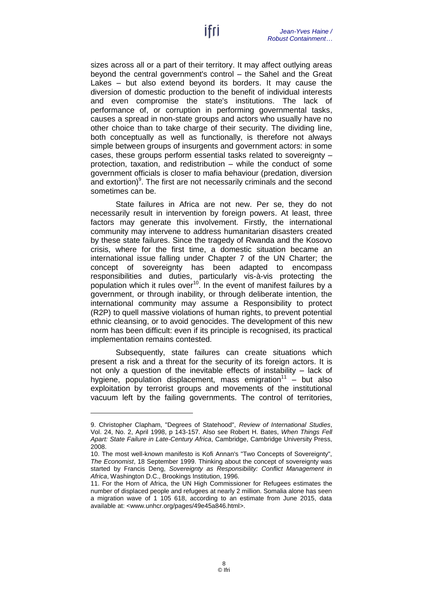sizes across all or a part of their territory. It may affect outlying areas beyond the central government's control – the Sahel and the Great Lakes – but also extend beyond its borders. It may cause the diversion of domestic production to the benefit of individual interests and even compromise the state's institutions. The lack of performance of, or corruption in performing governmental tasks, causes a spread in non-state groups and actors who usually have no other choice than to take charge of their security. The dividing line, both conceptually as well as functionally, is therefore not always simple between groups of insurgents and government actors: in some cases, these groups perform essential tasks related to sovereignty – protection, taxation, and redistribution – while the conduct of some government officials is closer to mafia behaviour (predation, diversion and extortion) $9$ . The first are not necessarily criminals and the second sometimes can be.

State failures in Africa are not new. Per se, they do not necessarily result in intervention by foreign powers. At least, three factors may generate this involvement. Firstly, the international community may intervene to address humanitarian disasters created by these state failures. Since the tragedy of Rwanda and the Kosovo crisis, where for the first time, a domestic situation became an international issue falling under Chapter 7 of the UN Charter; the concept of sovereignty has been adapted to encompass responsibilities and duties, particularly vis-à-vis protecting the population which it rules over<sup>10</sup>. In the event of manifest failures by a government, or through inability, or through deliberate intention, the international community may assume a Responsibility to protect (R2P) to quell massive violations of human rights, to prevent potential ethnic cleansing, or to avoid genocides. The development of this new norm has been difficult: even if its principle is recognised, its practical implementation remains contested.

Subsequently, state failures can create situations which present a risk and a threat for the security of its foreign actors. It is not only a question of the inevitable effects of instability – lack of hygiene, population displacement, mass emigration $11 -$  but also exploitation by terrorist groups and movements of the institutional vacuum left by the failing governments. The control of territories,

<sup>9.</sup> Christopher Clapham, "Degrees of Statehood", *Review of International Studies*, Vol. 24, No. 2, April 1998, p 143-157. Also see Robert H. Bates, *When Things Fell Apart: State Failure in Late-Century Africa*, Cambridge, Cambridge University Press, 2008.

<sup>10.</sup> The most well-known manifesto is Kofi Annan's "Two Concepts of Sovereignty", *The Economist*, 18 September 1999. Thinking about the concept of sovereignty was started by Francis Deng, *Sovereignty as Responsibility: Conflict Management in Africa*, Washington D.C., Brookings Institution, 1996.

<sup>11.</sup> For the Horn of Africa, the UN High Commissioner for Refugees estimates the number of displaced people and refugees at nearly 2 million. Somalia alone has seen a migration wave of 1 105 618, according to an estimate from June 2015, data available at: [<www.unhcr.org/pages/49e45a846.html>](http://www.unhcr.org/pages/49e45a846.html).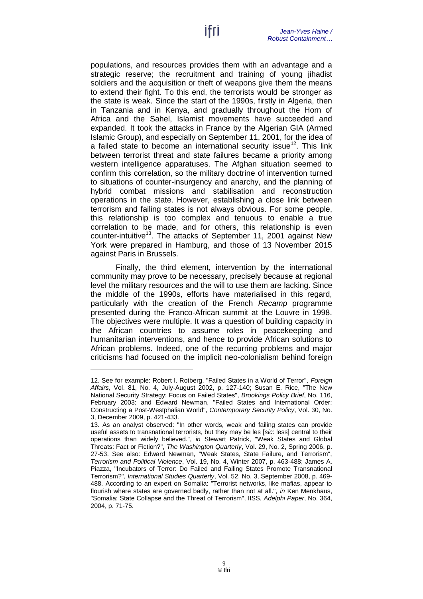populations, and resources provides them with an advantage and a strategic reserve; the recruitment and training of young jihadist soldiers and the acquisition or theft of weapons give them the means to extend their fight. To this end, the terrorists would be stronger as the state is weak. Since the start of the 1990s, firstly in Algeria, then in Tanzania and in Kenya, and gradually throughout the Horn of Africa and the Sahel, Islamist movements have succeeded and expanded. It took the attacks in France by the Algerian GIA (Armed Islamic Group), and especially on September 11, 2001, for the idea of a failed state to become an international security issue<sup>12</sup>. This link between terrorist threat and state failures became a priority among western intelligence apparatuses. The Afghan situation seemed to confirm this correlation, so the military doctrine of intervention turned to situations of counter-insurgency and anarchy, and the planning of hybrid combat missions and stabilisation and reconstruction operations in the state. However, establishing a close link between terrorism and failing states is not always obvious. For some people, this relationship is too complex and tenuous to enable a true correlation to be made, and for others, this relationship is even counter-intuitive<sup>13</sup>. The attacks of September 11, 2001 against New York were prepared in Hamburg, and those of 13 November 2015 against Paris in Brussels.

Finally, the third element, intervention by the international community may prove to be necessary, precisely because at regional level the military resources and the will to use them are lacking. Since the middle of the 1990s, efforts have materialised in this regard, particularly with the creation of the French *Recamp* programme presented during the Franco-African summit at the Louvre in 1998. The objectives were multiple. It was a question of building capacity in the African countries to assume roles in peacekeeping and humanitarian interventions, and hence to provide African solutions to African problems. Indeed, one of the recurring problems and major criticisms had focused on the implicit neo-colonialism behind foreign

<sup>12.</sup> See for example: Robert I. Rotberg, "Failed States in a World of Terror", *Foreign Affairs*, Vol. 81, No. 4, July-August 2002, p. 127-140; Susan E. Rice, "The New National Security Strategy: Focus on Failed States", *Brookings Policy Brief*, No. 116, February 2003; and Edward Newman, "Failed States and International Order: Constructing a Post-Westphalian World", *Contemporary Security Policy*, Vol. 30, No. 3, December 2009, p. 421-433.

<sup>13.</sup> As an analyst observed: "In other words, weak and failing states can provide useful assets to transnational terrorists, but they may be les [*sic*: less] central to their operations than widely believed.", *in* Stewart Patrick, "Weak States and Global Threats: Fact or Fiction?", *The Washington Quarterly*, Vol. 29, No. 2, Spring 2006, p. 27-53. See also: Edward Newman, "Weak States, State Failure, and Terrorism", *Terrorism and Political Violence*, Vol. 19, No. 4, Winter 2007, p. 463-488; James A. Piazza, "Incubators of Terror: Do Failed and Failing States Promote Transnational Terrorism?", *International Studies Quarterly*, Vol. 52, No. 3, September 2008, p. 469- 488. According to an expert on Somalia: "Terrorist networks, like mafias, appear to flourish where states are governed badly, rather than not at all.", *in* Ken Menkhaus, "Somalia: State Collapse and the Threat of Terrorism", IISS, *Adelphi Paper*, No. 364, 2004, p. 71-75.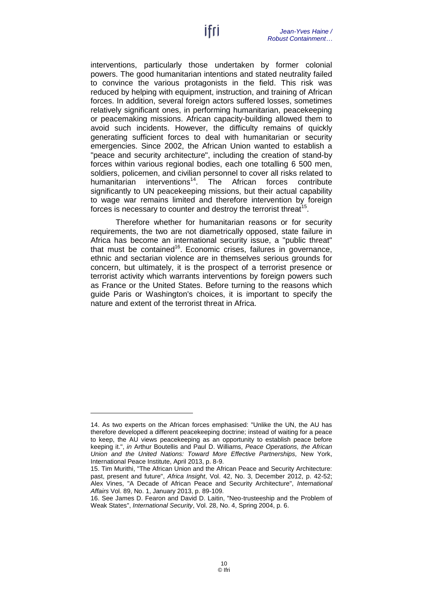interventions, particularly those undertaken by former colonial powers. The good humanitarian intentions and stated neutrality failed to convince the various protagonists in the field. This risk was reduced by helping with equipment, instruction, and training of African forces. In addition, several foreign actors suffered losses, sometimes relatively significant ones, in performing humanitarian, peacekeeping or peacemaking missions. African capacity-building allowed them to avoid such incidents. However, the difficulty remains of quickly generating sufficient forces to deal with humanitarian or security emergencies. Since 2002, the African Union wanted to establish a "peace and security architecture", including the creation of stand-by forces within various regional bodies, each one totalling 6 500 men, soldiers, policemen, and civilian personnel to cover all risks related to humanitarian interventions<sup>14</sup>. The African forces contribute significantly to UN peacekeeping missions, but their actual capability to wage war remains limited and therefore intervention by foreign forces is necessary to counter and destroy the terrorist threat<sup>15</sup>.

Therefore whether for humanitarian reasons or for security requirements, the two are not diametrically opposed, state failure in Africa has become an international security issue, a "public threat" that must be contained<sup>16</sup>. Economic crises, failures in governance, ethnic and sectarian violence are in themselves serious grounds for concern, but ultimately, it is the prospect of a terrorist presence or terrorist activity which warrants interventions by foreign powers such as France or the United States. Before turning to the reasons which guide Paris or Washington's choices, it is important to specify the nature and extent of the terrorist threat in Africa.

<sup>14.</sup> As two experts on the African forces emphasised: "Unlike the UN, the AU has therefore developed a different peacekeeping doctrine; instead of waiting for a peace to keep, the AU views peacekeeping as an opportunity to establish peace before keeping it.", *in* Arthur Boutellis and Paul D. Williams, *Peace Operations, the African Union and the United Nations: Toward More Effective Partnerships,* New York, International Peace Institute, April 2013, p. 8-9.

<sup>15.</sup> Tim Murithi, "The African Union and the African Peace and Security Architecture: past, present and future", *Africa Insight*, Vol. 42, No. 3, December 2012, p. 42-52; Alex Vines, "A Decade of African Peace and Security Architecture", *International Affairs* Vol. 89, No. 1, January 2013, p. 89-109.

<sup>16.</sup> See James D. Fearon and David D. Laitin, "Neo-trusteeship and the Problem of Weak States", *International Security*, Vol. 28, No. 4, Spring 2004, p. 6.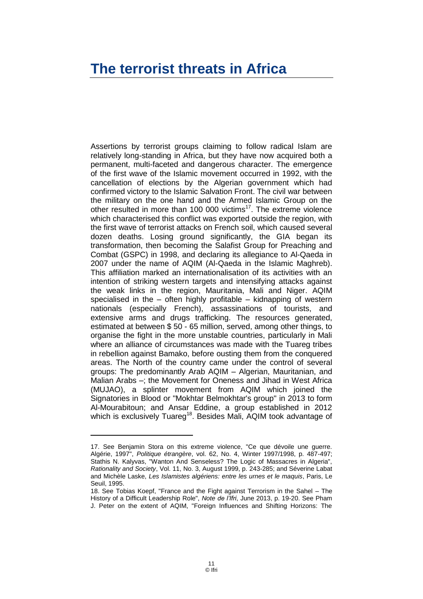#### <span id="page-12-0"></span>**The terrorist threats in Africa**

Assertions by terrorist groups claiming to follow radical Islam are relatively long-standing in Africa, but they have now acquired both a permanent, multi-faceted and dangerous character. The emergence of the first wave of the Islamic movement occurred in 1992, with the cancellation of elections by the Algerian government which had confirmed victory to the Islamic Salvation Front. The civil war between the military on the one hand and the Armed Islamic Group on the other resulted in more than 100 000 victims<sup>17</sup>. The extreme violence which characterised this conflict was exported outside the region, with the first wave of terrorist attacks on French soil, which caused several dozen deaths. Losing ground significantly, the GIA began its transformation, then becoming the Salafist Group for Preaching and Combat (GSPC) in 1998, and declaring its allegiance to Al-Qaeda in 2007 under the name of AQIM (Al-Qaeda in the Islamic Maghreb). This affiliation marked an internationalisation of its activities with an intention of striking western targets and intensifying attacks against the weak links in the region, Mauritania, Mali and Niger. AQIM specialised in the – often highly profitable – kidnapping of western nationals (especially French), assassinations of tourists, and extensive arms and drugs trafficking. The resources generated, estimated at between \$ 50 - 65 million, served, among other things, to organise the fight in the more unstable countries, particularly in Mali where an alliance of circumstances was made with the Tuareg tribes in rebellion against Bamako, before ousting them from the conquered areas. The North of the country came under the control of several groups: The predominantly Arab AQIM – Algerian, Mauritanian, and Malian Arabs –; the Movement for Oneness and Jihad in West Africa (MUJAO), a splinter movement from AQIM which joined the Signatories in Blood or "Mokhtar Belmokhtar's group" in 2013 to form Al-Mourabitoun; and Ansar Eddine, a group established in 2012 which is exclusively Tuareg<sup>18</sup>. Besides Mali, AQIM took advantage of

<sup>17.</sup> See Benjamin Stora on this extreme violence, "Ce que dévoile une guerre. Algérie, 1997", *Politique étrangère*, vol. 62, No. 4, Winter 1997/1998, p. 487-497; Stathis N. Kalyvas, "Wanton And Senseless? The Logic of Massacres in Algeria", *Rationality and Society*, Vol. 11, No. 3, August 1999, p. 243-285; and Séverine Labat and Michèle Laske, *Les Islamistes algériens: entre les urnes et le maquis*, Paris, Le Seuil, 1995.

<sup>18.</sup> See Tobias Koepf, "France and the Fight against Terrorism in the Sahel – The History of a Difficult Leadership Role", *Note de l'Ifri*, June 2013, p. 19-20. See Pham J. Peter on the extent of AQIM, "Foreign Influences and Shifting Horizons: The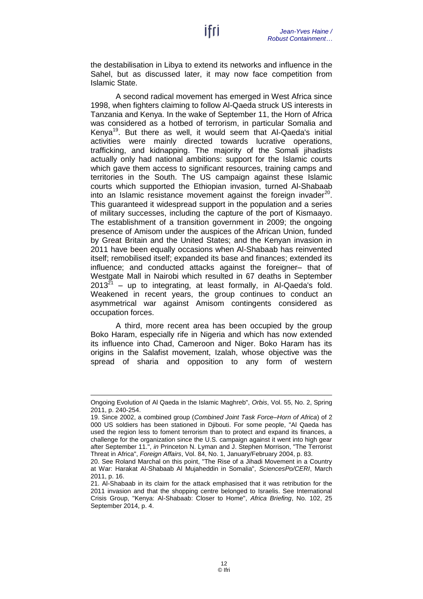the destabilisation in Libya to extend its networks and influence in the Sahel, but as discussed later, it may now face competition from Islamic State.

A second radical movement has emerged in West Africa since 1998, when fighters claiming to follow Al-Qaeda struck US interests in Tanzania and Kenya. In the wake of September 11, the Horn of Africa was considered as a hotbed of terrorism, in particular Somalia and Kenya<sup>19</sup>. But there as well, it would seem that Al-Qaeda's initial activities were mainly directed towards lucrative operations, trafficking, and kidnapping. The majority of the Somali jihadists actually only had national ambitions: support for the Islamic courts which gave them access to significant resources, training camps and territories in the South. The US campaign against these Islamic courts which supported the Ethiopian invasion, turned Al-Shabaab into an Islamic resistance movement against the foreign invader<sup>20</sup>. This guaranteed it widespread support in the population and a series of military successes, including the capture of the port of Kismaayo. The establishment of a transition government in 2009; the ongoing presence of Amisom under the auspices of the African Union, funded by Great Britain and the United States; and the Kenyan invasion in 2011 have been equally occasions when Al-Shabaab has reinvented itself; remobilised itself; expanded its base and finances; extended its influence; and conducted attacks against the foreigner– that of Westgate Mall in Nairobi which resulted in 67 deaths in September  $2013^{21}$  – up to integrating, at least formally, in Al-Qaeda's fold. Weakened in recent years, the group continues to conduct an asymmetrical war against Amisom contingents considered as occupation forces.

A third, more recent area has been occupied by the group Boko Haram, especially rife in Nigeria and which has now extended its influence into Chad, Cameroon and Niger. Boko Haram has its origins in the Salafist movement, Izalah, whose objective was the spread of sharia and opposition to any form of western

Ongoing Evolution of Al Qaeda in the Islamic Maghreb", *Orbis*, Vol. 55, No. 2, Spring 2011, p. 240-254.

<sup>19.</sup> Since 2002, a combined group (*Combined Joint Task Force–Horn of Africa*) of 2 000 US soldiers has been stationed in Djibouti. For some people, "Al Qaeda has used the region less to foment terrorism than to protect and expand its finances, a challenge for the organization since the U.S. campaign against it went into high gear after September 11.", *in* Princeton N. Lyman and J. Stephen Morrison, "The Terrorist Threat in Africa", *Foreign Affairs*, Vol. 84, No. 1, January/February 2004, p. 83.

<sup>20.</sup> See Roland Marchal on this point, "The Rise of a Jihadi Movement in a Country at War: Harakat Al-Shabaab Al Mujaheddin in Somalia", *SciencesPo/CERI*, March 2011, p. 16.

<sup>21.</sup> Al-Shabaab in its claim for the attack emphasised that it was retribution for the 2011 invasion and that the shopping centre belonged to Israelis. See International Crisis Group, "Kenya: Al-Shabaab: Closer to Home", *Africa Briefing*, No. 102, 25 September 2014, p. 4.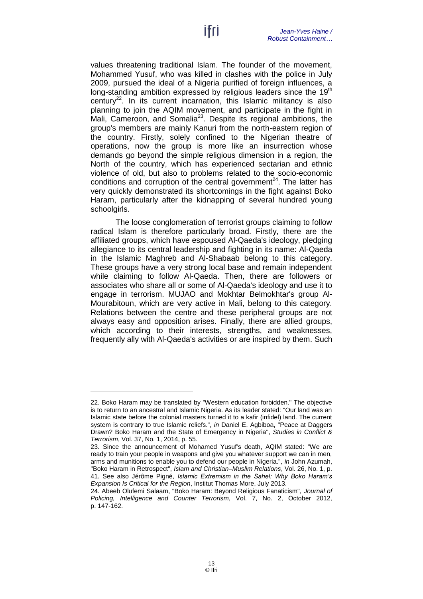values threatening traditional Islam. The founder of the movement, Mohammed Yusuf, who was killed in clashes with the police in July 2009, pursued the ideal of a Nigeria purified of foreign influences, a long-standing ambition expressed by religious leaders since the 19<sup>th</sup> century<sup>22</sup>. In its current incarnation, this Islamic militancy is also planning to join the AQIM movement, and participate in the fight in Mali, Cameroon, and Somalia<sup>23</sup>. Despite its regional ambitions, the group's members are mainly Kanuri from the north-eastern region of the country. Firstly, solely confined to the Nigerian theatre of operations, now the group is more like an insurrection whose demands go beyond the simple religious dimension in a region, the North of the country, which has experienced sectarian and ethnic violence of old, but also to problems related to the socio-economic conditions and corruption of the central government<sup>24</sup>. The latter has very quickly demonstrated its shortcomings in the fight against Boko Haram, particularly after the kidnapping of several hundred young schoolgirls.

The loose conglomeration of terrorist groups claiming to follow radical Islam is therefore particularly broad. Firstly, there are the affiliated groups, which have espoused Al-Qaeda's ideology, pledging allegiance to its central leadership and fighting in its name: Al-Qaeda in the Islamic Maghreb and Al-Shabaab belong to this category. These groups have a very strong local base and remain independent while claiming to follow Al-Qaeda. Then, there are followers or associates who share all or some of Al-Qaeda's ideology and use it to engage in terrorism. MUJAO and Mokhtar Belmokhtar's group Al-Mourabitoun, which are very active in Mali, belong to this category. Relations between the centre and these peripheral groups are not always easy and opposition arises. Finally, there are allied groups, which according to their interests, strengths, and weaknesses, frequently ally with Al-Qaeda's activities or are inspired by them. Such

<sup>22.</sup> Boko Haram may be translated by "Western education forbidden." The objective is to return to an ancestral and Islamic Nigeria. As its leader stated: "Our land was an Islamic state before the colonial masters turned it to a kafir (infidel) land. The current system is contrary to true Islamic reliefs.", *in* Daniel E. Agbiboa, "Peace at Daggers Drawn? Boko Haram and the State of Emergency in Nigeria", *Studies in Conflict & Terrorism*, Vol. 37, No. 1, 2014, p. 55.

<sup>23.</sup> Since the announcement of Mohamed Yusuf's death, AQIM stated: "We are ready to train your people in weapons and give you whatever support we can in men, arms and munitions to enable you to defend our people in Nigeria.", *in* John Azumah, "Boko Haram in Retrospect", *Islam and Christian–Muslim Relations*, Vol. 26, No. 1, p. 41. See also Jérôme Pigné, *Islamic Extremism in the Sahel: Why Boko Haram's Expansion Is Critical for the Region*, Institut Thomas More, July 2013.

<sup>24.</sup> Abeeb Olufemi Salaam, "Boko Haram: Beyond Religious Fanaticism", *Journal of Policing, Intelligence and Counter Terrorism*, Vol. 7, No. 2, October 2012, p. 147-162.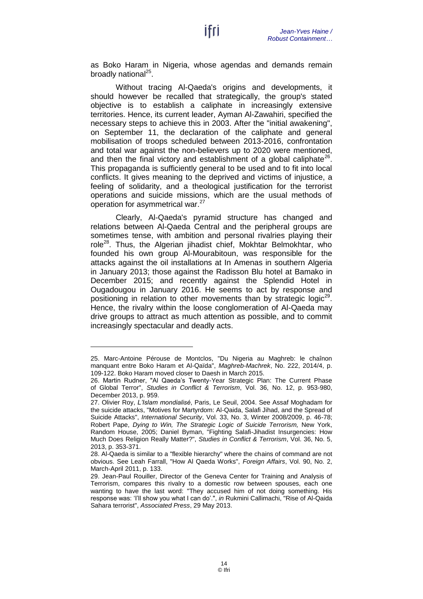as Boko Haram in Nigeria, whose agendas and demands remain broadly national<sup>25</sup>.

ltri

Without tracing Al-Qaeda's origins and developments, it should however be recalled that strategically, the group's stated objective is to establish a caliphate in increasingly extensive territories. Hence, its current leader, Ayman Al-Zawahiri, specified the necessary steps to achieve this in 2003. After the "initial awakening", on September 11, the declaration of the caliphate and general mobilisation of troops scheduled between 2013-2016, confrontation and total war against the non-believers up to 2020 were mentioned, and then the final victory and establishment of a global caliphate<sup>26</sup>. This propaganda is sufficiently general to be used and to fit into local conflicts. It gives meaning to the deprived and victims of injustice, a feeling of solidarity, and a theological justification for the terrorist operations and suicide missions, which are the usual methods of operation for asymmetrical war.<sup>27</sup>

Clearly, Al-Qaeda's pyramid structure has changed and relations between Al-Qaeda Central and the peripheral groups are sometimes tense, with ambition and personal rivalries playing their role<sup>28</sup>. Thus, the Algerian jihadist chief, Mokhtar Belmokhtar, who founded his own group Al-Mourabitoun, was responsible for the attacks against the oil installations at In Amenas in southern Algeria in January 2013; those against the Radisson Blu hotel at Bamako in December 2015; and recently against the Splendid Hotel in Ougadougou in January 2016. He seems to act by response and positioning in relation to other movements than by strategic logic<sup>29</sup>. Hence, the rivalry within the loose conglomeration of Al-Qaeda may drive groups to attract as much attention as possible, and to commit increasingly spectacular and deadly acts.

<sup>25.</sup> Marc-Antoine Pérouse de Montclos, "Du Nigeria au Maghreb: le chaînon manquant entre Boko Haram et Al-Qaïda", *Maghreb-Machrek*, No. 222, 2014/4, p. 109-122. Boko Haram moved closer to Daesh in March 2015.

<sup>26.</sup> Martin Rudner, "Al Qaeda's Twenty-Year Strategic Plan: The Current Phase of Global Terror", *Studies in Conflict & Terrorism*, Vol. 36, No. 12, p. 953-980, December 2013, p. 959.

<sup>27.</sup> Olivier Roy, *L'Islam mondialisé*, Paris, Le Seuil, 2004. See Assaf Moghadam for the suicide attacks, "Motives for Martyrdom: Al-Qaida, Salafi Jihad, and the Spread of Suicide Attacks", *International Security*, Vol. 33, No. 3, Winter 2008/2009, p. 46-78; Robert Pape, *Dying to Win, The Strategic Logic of Suicide Terrorism,* New York, Random House, 2005; Daniel Byman, "Fighting Salafi-Jihadist Insurgencies: How Much Does Religion Really Matter?", *Studies in Conflict & Terrorism*, Vol. 36, No. 5, 2013, p. 353-371.

<sup>28.</sup> Al-Qaeda is similar to a "flexible hierarchy" where the chains of command are not obvious. See Leah Farrall, "How Al Qaeda Works", *Foreign Affairs*, Vol. 90, No. 2, March-April 2011, p. 133.

<sup>29.</sup> Jean-Paul Rouiller, Director of the Geneva Center for Training and Analysis of Terrorism, compares this rivalry to a domestic row between spouses, each one wanting to have the last word: "They accused him of not doing something. His response was: 'I'll show you what I can do'.", *in* Rukmini Callimachi, "Rise of Al-Qaida Sahara terrorist", *Associated Press*, 29 May 2013.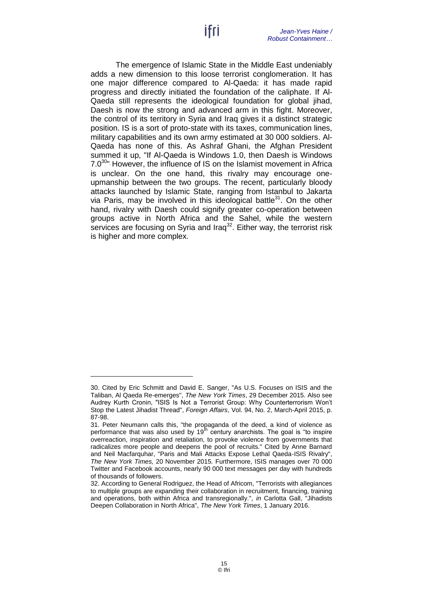The emergence of Islamic State in the Middle East undeniably adds a new dimension to this loose terrorist conglomeration. It has one major difference compared to Al-Qaeda: it has made rapid progress and directly initiated the foundation of the caliphate. If Al-Qaeda still represents the ideological foundation for global jihad, Daesh is now the strong and advanced arm in this fight. Moreover, the control of its territory in Syria and Iraq gives it a distinct strategic position. IS is a sort of proto-state with its taxes, communication lines, military capabilities and its own army estimated at 30 000 soldiers. Al-Qaeda has none of this. As Ashraf Ghani, the Afghan President summed it up, "If Al-Qaeda is Windows 1.0, then Daesh is Windows 7.0<sup>30</sup> However, the influence of IS on the Islamist movement in Africa is unclear. On the one hand, this rivalry may encourage oneupmanship between the two groups. The recent, particularly bloody attacks launched by Islamic State, ranging from Istanbul to Jakarta via Paris, may be involved in this ideological battle $31$ . On the other hand, rivalry with Daesh could signify greater co-operation between groups active in North Africa and the Sahel, while the western services are focusing on Syria and Iraq<sup>32</sup>. Either way, the terrorist risk is higher and more complex.

<sup>30.</sup> Cited by Eric Schmitt and David E. Sanger, "As U.S. Focuses on ISIS and the Taliban, Al Qaeda Re-emerges", *The New York Times*, 29 December 2015. Also see Audrey Kurth Cronin, "ISIS Is Not a Terrorist Group: Why Counterterrorism Won't Stop the Latest Jihadist Thread", *Foreign Affairs*, Vol. 94, No. 2, March-April 2015, p. 87-98.

<sup>31.</sup> Peter Neumann calls this, "the propaganda of the deed, a kind of violence as performance that was also used by  $19<sup>th</sup>$  century anarchists. The goal is "to inspire overreaction, inspiration and retaliation, to provoke violence from governments that radicalizes more people and deepens the pool of recruits." Cited by Anne Barnard and Neil Macfarquhar, "Paris and Mali Attacks Expose Lethal Qaeda-ISIS Rivalry", *The New York Times,* 20 November 2015*.* Furthermore, ISIS manages over 70 000 Twitter and Facebook accounts, nearly 90 000 text messages per day with hundreds of thousands of followers.

<sup>32.</sup> According to General Rodriguez, the Head of Africom, "Terrorists with allegiances to multiple groups are expanding their collaboration in recruitment, financing, training and operations, both within Africa and transregionally.", *in* Carlotta Gall, "Jihadists Deepen Collaboration in North Africa", *The New York Times*, 1 January 2016.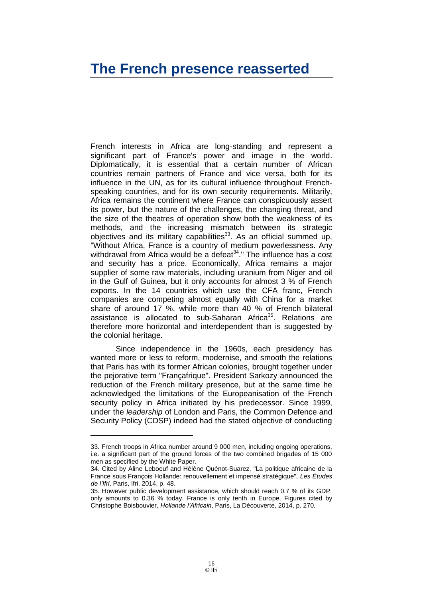#### <span id="page-17-0"></span>**The French presence reasserted**

French interests in Africa are long-standing and represent a significant part of France's power and image in the world. Diplomatically, it is essential that a certain number of African countries remain partners of France and vice versa, both for its influence in the UN, as for its cultural influence throughout Frenchspeaking countries, and for its own security requirements. Militarily, Africa remains the continent where France can conspicuously assert its power, but the nature of the challenges, the changing threat, and the size of the theatres of operation show both the weakness of its methods, and the increasing mismatch between its strategic objectives and its military capabilities $33$ . As an official summed up, "Without Africa, France is a country of medium powerlessness. Any withdrawal from Africa would be a defeat<sup>34</sup>." The influence has a cost and security has a price. Economically, Africa remains a major supplier of some raw materials, including uranium from Niger and oil in the Gulf of Guinea, but it only accounts for almost 3 % of French exports. In the 14 countries which use the CFA franc, French companies are competing almost equally with China for a market share of around 17 %, while more than 40 % of French bilateral assistance is allocated to sub-Saharan Africa<sup>35</sup>. Relations are therefore more horizontal and interdependent than is suggested by the colonial heritage.

Since independence in the 1960s, each presidency has wanted more or less to reform, modernise, and smooth the relations that Paris has with its former African colonies, brought together under the pejorative term "Françafrique". President Sarkozy announced the reduction of the French military presence, but at the same time he acknowledged the limitations of the Europeanisation of the French security policy in Africa initiated by his predecessor. Since 1999, under the *leadership* of London and Paris, the Common Defence and Security Policy (CDSP) indeed had the stated objective of conducting

<sup>33.</sup> French troops in Africa number around 9 000 men, including ongoing operations, i.e. a significant part of the ground forces of the two combined brigades of 15 000 men as specified by the White Paper.

<sup>34.</sup> Cited by Aline Leboeuf and Hélène Quénot-Suarez, "La politique africaine de la France sous François Hollande: renouvellement et impensé stratégique"*, Les Études de l'Ifri*, Paris, Ifri, 2014, p. 48.

<sup>35.</sup> However public development assistance, which should reach 0.7 % of its GDP, only amounts to 0.36 % today. France is only tenth in Europe. Figures cited by Christophe Boisbouvier, *Hollande l'Africain*, Paris, La Découverte, 2014, p. 270.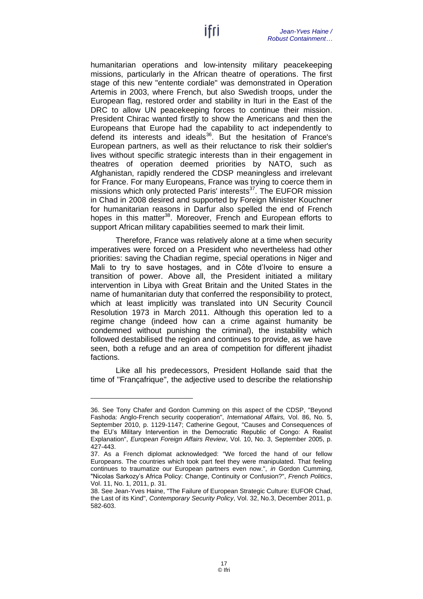humanitarian operations and low-intensity military peacekeeping missions, particularly in the African theatre of operations. The first stage of this new "entente cordiale" was demonstrated in Operation Artemis in 2003, where French, but also Swedish troops, under the European flag, restored order and stability in Ituri in the East of the DRC to allow UN peacekeeping forces to continue their mission. President Chirac wanted firstly to show the Americans and then the Europeans that Europe had the capability to act independently to defend its interests and ideals<sup>36</sup>. But the hesitation of France's European partners, as well as their reluctance to risk their soldier's lives without specific strategic interests than in their engagement in theatres of operation deemed priorities by NATO, such as Afghanistan, rapidly rendered the CDSP meaningless and irrelevant for France. For many Europeans, France was trying to coerce them in missions which only protected Paris' interests<sup>37</sup>. The EUFOR mission in Chad in 2008 desired and supported by Foreign Minister Kouchner for humanitarian reasons in Darfur also spelled the end of French hopes in this matter<sup>38</sup>. Moreover, French and European efforts to support African military capabilities seemed to mark their limit.

Therefore, France was relatively alone at a time when security imperatives were forced on a President who nevertheless had other priorities: saving the Chadian regime, special operations in Niger and Mali to try to save hostages, and in Côte d'Ivoire to ensure a transition of power. Above all, the President initiated a military intervention in Libya with Great Britain and the United States in the name of humanitarian duty that conferred the responsibility to protect, which at least implicitly was translated into UN Security Council Resolution 1973 in March 2011. Although this operation led to a regime change (indeed how can a crime against humanity be condemned without punishing the criminal), the instability which followed destabilised the region and continues to provide, as we have seen, both a refuge and an area of competition for different jihadist factions.

Like all his predecessors, President Hollande said that the time of "Françafrique", the adjective used to describe the relationship

<sup>36.</sup> See Tony Chafer and Gordon Cumming on this aspect of the CDSP, "Beyond Fashoda: Anglo-French security cooperation", *International Affairs,* Vol. 86, No. 5, September 2010, p. 1129-1147; Catherine Gegout, "Causes and Consequences of the EU's Military Intervention in the Democratic Republic of Congo: A Realist Explanation", *European Foreign Affairs Review*, Vol. 10, No. 3, September 2005, p. 427-443.

<sup>37.</sup> As a French diplomat acknowledged: "We forced the hand of our fellow Europeans. The countries which took part feel they were manipulated. That feeling continues to traumatize our European partners even now.", *in* Gordon Cumming, "Nicolas Sarkozy's Africa Policy: Change, Continuity or Confusion?", *French Politics*, Vol. 11, No. 1, 2011, p. 31.

<sup>38.</sup> See Jean-Yves Haine, "The Failure of European Strategic Culture: EUFOR Chad, the Last of its Kind", *Contemporary Security Policy*, Vol. 32, No.3, December 2011, p. 582-603.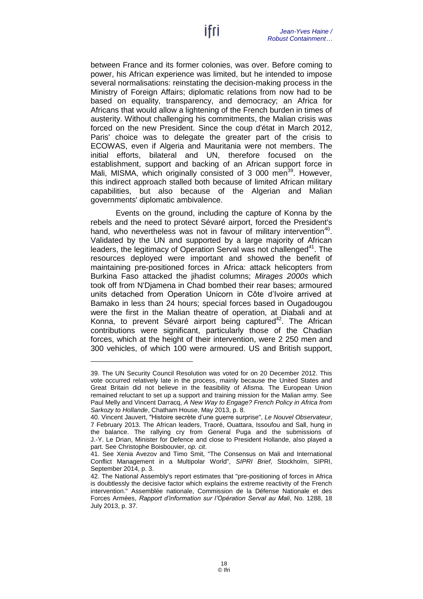between France and its former colonies, was over. Before coming to power, his African experience was limited, but he intended to impose several normalisations: reinstating the decision-making process in the Ministry of Foreign Affairs; diplomatic relations from now had to be based on equality, transparency, and democracy; an Africa for Africans that would allow a lightening of the French burden in times of austerity. Without challenging his commitments, the Malian crisis was forced on the new President. Since the coup d'état in March 2012, Paris' choice was to delegate the greater part of the crisis to ECOWAS, even if Algeria and Mauritania were not members. The initial efforts, bilateral and UN, therefore focused on the establishment, support and backing of an African support force in Mali, MISMA, which originally consisted of 3 000 men<sup>39</sup>. However, this indirect approach stalled both because of limited African military capabilities, but also because of the Algerian and Malian governments' diplomatic ambivalence.

Events on the ground, including the capture of Konna by the rebels and the need to protect Sévaré airport, forced the President's hand, who nevertheless was not in favour of military intervention<sup>40</sup>. Validated by the UN and supported by a large majority of African leaders, the legitimacy of Operation Serval was not challenged<sup>41</sup>. The resources deployed were important and showed the benefit of maintaining pre-positioned forces in Africa: attack helicopters from Burkina Faso attacked the jihadist columns; *Mirages 2000s* which took off from N'Djamena in Chad bombed their rear bases; armoured units detached from Operation Unicorn in Côte d'Ivoire arrived at Bamako in less than 24 hours; special forces based in Ougadougou were the first in the Malian theatre of operation, at Diabali and at Konna, to prevent Sévaré airport being captured<sup>42</sup>. The African contributions were significant, particularly those of the Chadian forces, which at the height of their intervention, were 2 250 men and 300 vehicles, of which 100 were armoured. US and British support,

<sup>39.</sup> The UN Security Council Resolution was voted for on 20 December 2012. This vote occurred relatively late in the process, mainly because the United States and Great Britain did not believe in the feasibility of Afisma. The European Union remained reluctant to set up a support and training mission for the Malian army. See Paul Melly and Vincent Darracq, *A New Way to Engage? French Policy in Africa from Sarkozy to Hollande*, Chatham House, May 2013, p. 8.

<sup>40.</sup> Vincent Jauvert, "Histoire secrète d'une guerre surprise", *Le Nouvel Observateur*, 7 February 2013. The African leaders, Traoré, Ouattara, Issoufou and Sall, hung in the balance. The rallying cry from General Puga and the submissions of J.-Y. Le Drian, Minister for Defence and close to President Hollande, also played a part. See Christophe Boisbouvier, *op. cit*.

<sup>41.</sup> See Xenia Avezov and Timo Smit, "The Consensus on Mali and International Conflict Management in a Multipolar World", *SIPRI Brief*, Stockholm, SIPRI, September 2014, p. 3.

<sup>42.</sup> The National Assembly's report estimates that "pre-positioning of forces in Africa is doubtlessly the decisive factor which explains the extreme reactivity of the French intervention." Assemblée nationale, Commission de la Défense Nationale et des Forces Armées, *Rapport d'information sur l'Opération Serval au Mali*, No. 1288, 18 July 2013, p. 37.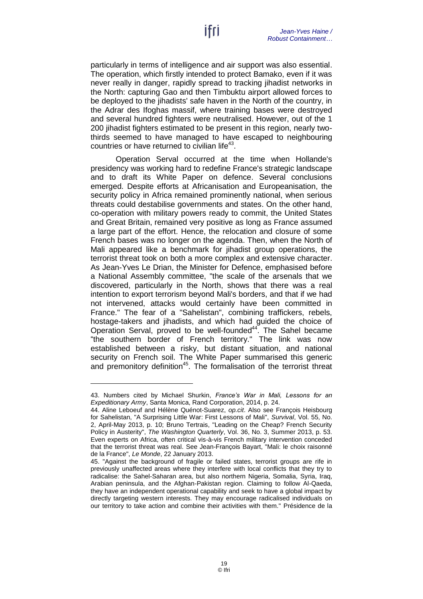particularly in terms of intelligence and air support was also essential. The operation, which firstly intended to protect Bamako, even if it was never really in danger, rapidly spread to tracking jihadist networks in the North: capturing Gao and then Timbuktu airport allowed forces to be deployed to the jihadists' safe haven in the North of the country, in the Adrar des Ifoghas massif, where training bases were destroyed and several hundred fighters were neutralised. However, out of the 1 200 jihadist fighters estimated to be present in this region, nearly twothirds seemed to have managed to have escaped to neighbouring countries or have returned to civilian life<sup>43</sup>.

Operation Serval occurred at the time when Hollande's presidency was working hard to redefine France's strategic landscape and to draft its White Paper on defence. Several conclusions emerged. Despite efforts at Africanisation and Europeanisation, the security policy in Africa remained prominently national, when serious threats could destabilise governments and states. On the other hand, co-operation with military powers ready to commit, the United States and Great Britain, remained very positive as long as France assumed a large part of the effort. Hence, the relocation and closure of some French bases was no longer on the agenda. Then, when the North of Mali appeared like a benchmark for jihadist group operations, the terrorist threat took on both a more complex and extensive character. As Jean-Yves Le Drian, the Minister for Defence, emphasised before a National Assembly committee, "the scale of the arsenals that we discovered, particularly in the North, shows that there was a real intention to export terrorism beyond Mali's borders, and that if we had not intervened, attacks would certainly have been committed in France." The fear of a "Sahelistan", combining traffickers, rebels, hostage-takers and jihadists, and which had guided the choice of Operation Serval, proved to be well-founded<sup>44</sup>. The Sahel became "the southern border of French territory." The link was now established between a risky, but distant situation, and national security on French soil. The White Paper summarised this generic and premonitory definition<sup>45</sup>. The formalisation of the terrorist threat

<sup>43.</sup> Numbers cited by Michael Shurkin, *France's War in Mali, Lessons for an Expeditionary Army*, Santa Monica, Rand Corporation, 2014, p. 24.

<sup>44.</sup> Aline Leboeuf and Hélène Quénot-Suarez, *op.cit*. Also see François Heisbourg for Sahelistan, "A Surprising Little War: First Lessons of Mali", *Survival*, Vol. 55, No. 2, April-May 2013, p. 10; Bruno Tertrais, "Leading on the Cheap? French Security Policy in Austerity", *The Washington Quarterly*, Vol. 36, No. 3, Summer 2013, p. 53. Even experts on Africa, often critical vis-à-vis French military intervention conceded that the terrorist threat was real. See Jean-François Bayart, "Mali: le choix raisonné de la France", *Le Monde*, 22 January 2013.

<sup>45.</sup> "Against the background of fragile or failed states, terrorist groups are rife in previously unaffected areas where they interfere with local conflicts that they try to radicalise: the Sahel-Saharan area, but also northern Nigeria, Somalia, Syria, Iraq, Arabian peninsula, and the Afghan-Pakistan region. Claiming to follow Al-Qaeda, they have an independent operational capability and seek to have a global impact by directly targeting western interests. They may encourage radicalised individuals on our territory to take action and combine their activities with them." Présidence de la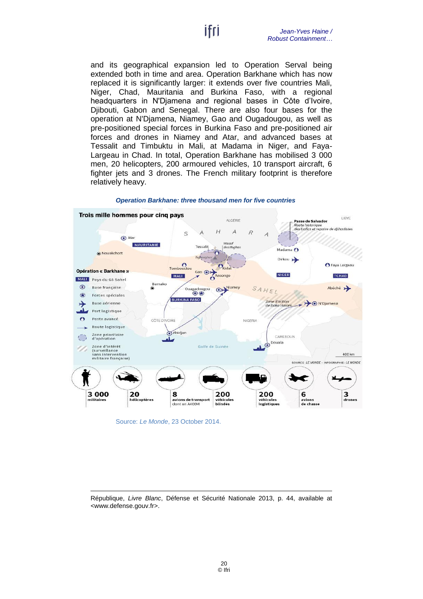and its geographical expansion led to Operation Serval being extended both in time and area. Operation Barkhane which has now replaced it is significantly larger: it extends over five countries Mali, Niger, Chad, Mauritania and Burkina Faso, with a regional headquarters in N'Djamena and regional bases in Côte d'Ivoire, Djibouti, Gabon and Senegal. There are also four bases for the operation at N'Djamena, Niamey, Gao and Ougadougou, as well as pre-positioned special forces in Burkina Faso and pre-positioned air forces and drones in Niamey and Atar, and advanced bases at Tessalit and Timbuktu in Mali, at Madama in Niger, and Faya-Largeau in Chad. In total, Operation Barkhane has mobilised 3 000 men, 20 helicopters, 200 armoured vehicles, 10 transport aircraft, 6 fighter jets and 3 drones. The French military footprint is therefore relatively heavy.



*Operation Barkhane: three thousand men for five countries* 

Source: *Le Monde*, 23 October 2014.

-

République, *Livre Blanc*, Défense et Sécurité Nationale 2013, p. 44, available at [<www.defense.gouv.fr>](http://www.defense.gouv.fr/actualites/la-reforme/livre-blanc-2013).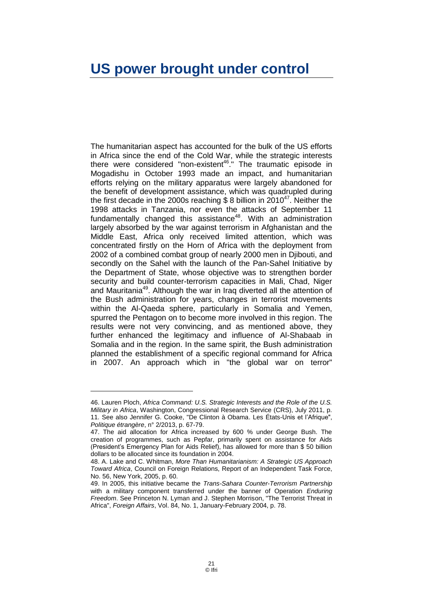#### <span id="page-22-0"></span>**US power brought under control**

The humanitarian aspect has accounted for the bulk of the US efforts in Africa since the end of the Cold War, while the strategic interests there were considered "non-existent<sup>46</sup>." The traumatic episode in Mogadishu in October 1993 made an impact, and humanitarian efforts relying on the military apparatus were largely abandoned for the benefit of development assistance, which was quadrupled during the first decade in the 2000s reaching \$ 8 billion in 2010 $47$ . Neither the 1998 attacks in Tanzania, nor even the attacks of September 11 fundamentally changed this assistance<sup>48</sup>. With an administration largely absorbed by the war against terrorism in Afghanistan and the Middle East, Africa only received limited attention, which was concentrated firstly on the Horn of Africa with the deployment from 2002 of a combined combat group of nearly 2000 men in Diibouti, and secondly on the Sahel with the launch of the Pan-Sahel Initiative by the Department of State, whose objective was to strengthen border security and build counter-terrorism capacities in Mali, Chad, Niger and Mauritania<sup>49</sup>. Although the war in Iraq diverted all the attention of the Bush administration for years, changes in terrorist movements within the Al-Qaeda sphere, particularly in Somalia and Yemen, spurred the Pentagon on to become more involved in this region. The results were not very convincing, and as mentioned above, they further enhanced the legitimacy and influence of Al-Shabaab in Somalia and in the region. In the same spirit, the Bush administration planned the establishment of a specific regional command for Africa in 2007. An approach which in "the global war on terror"

<sup>46.</sup> Lauren Ploch, *Africa Command: U.S. Strategic Interests and the Role of the U.S. Military in Africa*, Washington, Congressional Research Service (CRS), July 2011, p. 11. See also Jennifer G. Cooke, "De Clinton à Obama. Les États-Unis et l'Afrique", *Politique étrangère*, n° 2/2013, p. 67-79.

<sup>47.</sup> The aid allocation for Africa increased by 600 % under George Bush. The creation of programmes, such as Pepfar, primarily spent on assistance for Aids (President's Emergency Plan for Aids Relief), has allowed for more than \$ 50 billion dollars to be allocated since its foundation in 2004.

<sup>48.</sup> A. Lake and C. Whitman, *More Than Humanitarianism: A Strategic US Approach Toward Africa*, Council on Foreign Relations, Report of an Independent Task Force, No. 56, New York, 2005, p. 60.

<sup>49.</sup> In 2005, this initiative became the *Trans-Sahara Counter-Terrorism Partnership* with a military component transferred under the banner of Operation *Enduring Freedom*. See Princeton N. Lyman and J. Stephen Morrison, "The Terrorist Threat in Africa", *Foreign Affairs*, Vol. 84, No. 1, January-February 2004, p. 78.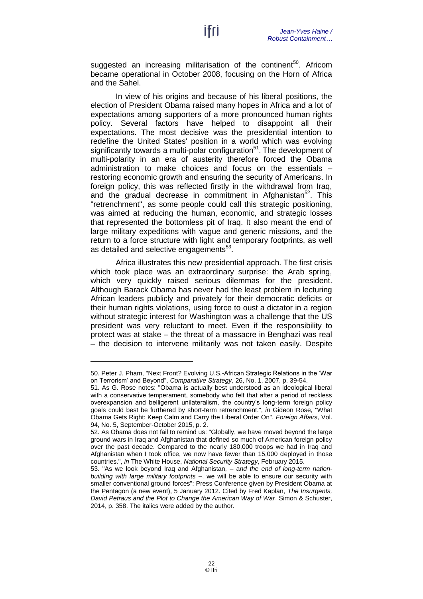suggested an increasing militarisation of the continent<sup>50</sup>. Africom became operational in October 2008, focusing on the Horn of Africa and the Sahel.

In view of his origins and because of his liberal positions, the election of President Obama raised many hopes in Africa and a lot of expectations among supporters of a more pronounced human rights policy. Several factors have helped to disappoint all their expectations. The most decisive was the presidential intention to redefine the United States' position in a world which was evolving significantly towards a multi-polar configuration<sup>51</sup>. The development of multi-polarity in an era of austerity therefore forced the Obama administration to make choices and focus on the essentials – restoring economic growth and ensuring the security of Americans. In foreign policy, this was reflected firstly in the withdrawal from Iraq, and the gradual decrease in commitment in Afghanistan<sup>52</sup>. This "retrenchment", as some people could call this strategic positioning, was aimed at reducing the human, economic, and strategic losses that represented the bottomless pit of Iraq. It also meant the end of large military expeditions with vague and generic missions, and the return to a force structure with light and temporary footprints, as well as detailed and selective engagements<sup>53</sup>.

Africa illustrates this new presidential approach. The first crisis which took place was an extraordinary surprise: the Arab spring, which very quickly raised serious dilemmas for the president. Although Barack Obama has never had the least problem in lecturing African leaders publicly and privately for their democratic deficits or their human rights violations, using force to oust a dictator in a region without strategic interest for Washington was a challenge that the US president was very reluctant to meet. Even if the responsibility to protect was at stake – the threat of a massacre in Benghazi was real – the decision to intervene militarily was not taken easily. Despite

<sup>50.</sup> Peter J. Pham, "Next Front? Evolving U.S.-African Strategic Relations in the 'War on Terrorism' and Beyond", *Comparative Strategy*, 26, No. 1, 2007, p. 39-54.

<sup>51.</sup> As G. Rose notes: "Obama is actually best understood as an ideological liberal with a conservative temperament, somebody who felt that after a period of reckless overexpansion and belligerent unilateralism, the country's long-term foreign policy goals could best be furthered by short-term retrenchment.", *in* Gideon Rose, "What Obama Gets Right: Keep Calm and Carry the Liberal Order On", *Foreign Affairs*, Vol. 94, No. 5, September-October 2015, p. 2.

<sup>52.</sup> As Obama does not fail to remind us: "Globally, we have moved beyond the large ground wars in Iraq and Afghanistan that defined so much of American foreign policy over the past decade. Compared to the nearly 180,000 troops we had in Iraq and Afghanistan when I took office, we now have fewer than 15,000 deployed in those countries.", *in* The White House, *National Security Strategy*, February 2015.

<sup>53.</sup> "As we look beyond Iraq and Afghanistan, – a*nd the end of long-term nationbuilding with large military footprints* –, we will be able to ensure our security with smaller conventional ground forces": Press Conference given by President Obama at the Pentagon (a new event), 5 January 2012. Cited by Fred Kaplan, *The Insurgents, David Petraus and the Plot to Change the American Way of War*, Simon & Schuster, 2014, p. 358. The italics were added by the author.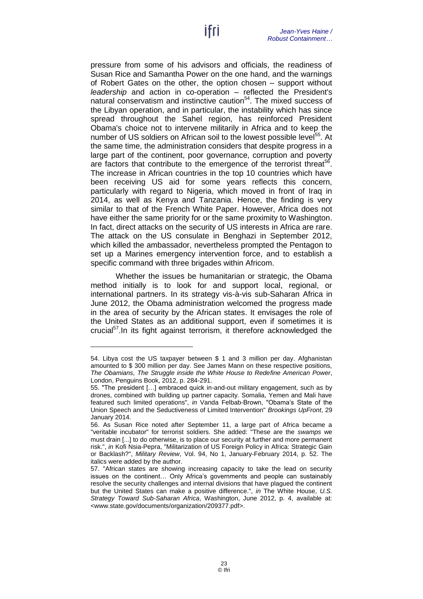pressure from some of his advisors and officials, the readiness of Susan Rice and Samantha Power on the one hand, and the warnings of Robert Gates on the other, the option chosen – support without *leadership* and action in co-operation – reflected the President's natural conservatism and instinctive caution<sup>54</sup>. The mixed success of the Libyan operation, and in particular, the instability which has since spread throughout the Sahel region, has reinforced President Obama's choice not to intervene militarily in Africa and to keep the number of US soldiers on African soil to the lowest possible level<sup>55</sup>. At the same time, the administration considers that despite progress in a large part of the continent, poor governance, corruption and poverty are factors that contribute to the emergence of the terrorist threat<sup>56</sup>. The increase in African countries in the top 10 countries which have been receiving US aid for some years reflects this concern, particularly with regard to Nigeria, which moved in front of Iraq in 2014, as well as Kenya and Tanzania. Hence, the finding is very similar to that of the French White Paper. However, Africa does not have either the same priority for or the same proximity to Washington. In fact, direct attacks on the security of US interests in Africa are rare. The attack on the US consulate in Benghazi in September 2012, which killed the ambassador, nevertheless prompted the Pentagon to set up a Marines emergency intervention force, and to establish a specific command with three brigades within Africom.

Whether the issues be humanitarian or strategic, the Obama method initially is to look for and support local, regional, or international partners. In its strategy vis-à-vis sub-Saharan Africa in June 2012, the Obama administration welcomed the progress made in the area of security by the African states. It envisages the role of the United States as an additional support, even if sometimes it is crucial<sup>57</sup>. In its fight against terrorism, it therefore acknowledged the

<sup>54.</sup> Libya cost the US taxpayer between \$ 1 and 3 million per day. Afghanistan amounted to \$ 300 million per day. See James Mann on these respective positions, *The Obamians, The Struggle inside the White House to Redefine American Power*, London, Penguins Book, 2012, p. 284-291.

<sup>55.</sup> "The president […] embraced quick in-and-out military engagement, such as by drones, combined with building up partner capacity. Somalia, Yemen and Mali have featured such limited operations", *in* Vanda Felbab-Brown, "Obama's State of the Union Speech and the Seductiveness of Limited Intervention" *Brookings UpFront*, 29 January 2014.

<sup>56.</sup> As Susan Rice noted after September 11, a large part of Africa became a "veritable incubator" for terrorist soldiers. She added: "These are the *swamps* we must drain [...] to do otherwise, is to place our security at further and more permanent risk.", *in* Kofi Nsia-Pepra, "Militarization of US Foreign Policy in Africa: Strategic Gain or Backlash?", *Military Review*, Vol. 94, No 1, January-February 2014, p. 52. The italics were added by the author.

<sup>57.</sup> "African states are showing increasing capacity to take the lead on security issues on the continent… Only Africa's governments and people can sustainably resolve the security challenges and internal divisions that have plagued the continent but the United States can make a positive difference.", *in* The White House, *U.S. Strategy Toward Sub-Saharan Africa*, Washington, June 2012, p. 4, available at: [<www.state.gov/documents/organization/209377.pdf>](http://www.state.gov/documents/organization/209377.pdf).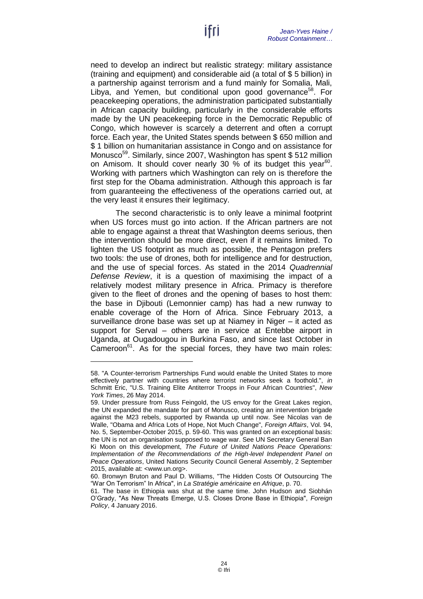need to develop an indirect but realistic strategy: military assistance (training and equipment) and considerable aid (a total of \$ 5 billion) in a partnership against terrorism and a fund mainly for Somalia, Mali, Libya, and Yemen, but conditional upon good governance<sup>58</sup>. For peacekeeping operations, the administration participated substantially in African capacity building, particularly in the considerable efforts made by the UN peacekeeping force in the Democratic Republic of Congo, which however is scarcely a deterrent and often a corrupt force. Each year, the United States spends between \$ 650 million and \$ 1 billion on humanitarian assistance in Congo and on assistance for Monusco<sup>59</sup>. Similarly, since 2007, Washington has spent \$ 512 million on Amisom. It should cover nearly 30  $\%$  of its budget this year<sup>60</sup>. Working with partners which Washington can rely on is therefore the first step for the Obama administration. Although this approach is far from guaranteeing the effectiveness of the operations carried out, at the very least it ensures their legitimacy.

The second characteristic is to only leave a minimal footprint when US forces must go into action. If the African partners are not able to engage against a threat that Washington deems serious, then the intervention should be more direct, even if it remains limited. To lighten the US footprint as much as possible, the Pentagon prefers two tools: the use of drones, both for intelligence and for destruction, and the use of special forces. As stated in the 2014 *Quadrennial Defense Review*, it is a question of maximising the impact of a relatively modest military presence in Africa. Primacy is therefore given to the fleet of drones and the opening of bases to host them: the base in Djibouti (Lemonnier camp) has had a new runway to enable coverage of the Horn of Africa. Since February 2013, a surveillance drone base was set up at Niamey in Niger – it acted as support for Serval – others are in service at Entebbe airport in Uganda, at Ougadougou in Burkina Faso, and since last October in Cameroon<sup>61</sup>. As for the special forces, they have two main roles:

<sup>58.</sup> "A Counter-terrorism Partnerships Fund would enable the United States to more effectively partner with countries where terrorist networks seek a foothold.", *in* Schmitt Eric, "U.S. Training Elite Antiterror Troops in Four African Countries", *New York Times*, 26 May 2014.

<sup>59.</sup> Under pressure from Russ Feingold, the US envoy for the Great Lakes region, the UN expanded the mandate for part of Monusco, creating an intervention brigade against the M23 rebels, supported by Rwanda up until now. See Nicolas van de Walle, "Obama and Africa Lots of Hope, Not Much Change", *Foreign Affairs*, Vol. 94, No. 5, September-October 2015, p. 59-60. This was granted on an exceptional basis: the UN is not an organisation supposed to wage war. See UN Secretary General Ban Ki Moon on this development, *The Future of United Nations Peace Operations: Implementation of the Recommendations of the High-level Independent Panel on Peace Operations*, United Nations Security Council General Assembly, 2 September 2015, available at: [<www.un.org>](http://www.un.org/en/ga/search/view_doc.asp?symbol=S/2015/682).

<sup>60.</sup> Bronwyn Bruton and Paul D. Williams, "The Hidden Costs Of Outsourcing The "War On Terrorism" In Africa", in *La Stratégie américaine en Afrique*, p. 70.

<sup>61.</sup> The base in Ethiopia was shut at the same time. John Hudson and Siobhán O'Grady, "As New Threats Emerge, U.S. Closes Drone Base in Ethiopia", *Foreign Policy*, 4 January 2016.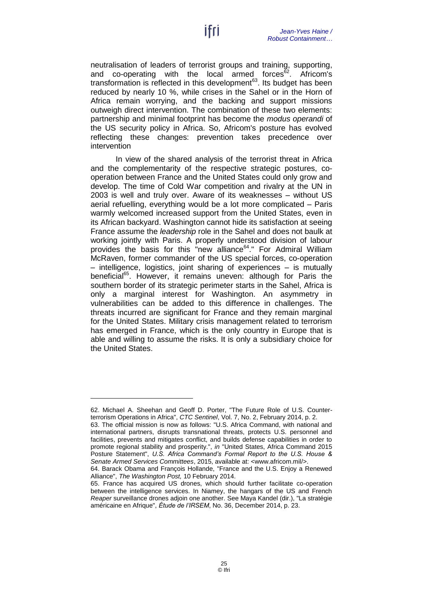neutralisation of leaders of terrorist groups and training, supporting, and co-operating with the local armed forces $62$ . Africom's transformation is reflected in this development $63$ . Its budget has been reduced by nearly 10 %, while crises in the Sahel or in the Horn of Africa remain worrying, and the backing and support missions outweigh direct intervention. The combination of these two elements: partnership and minimal footprint has become the *modus operandi* of the US security policy in Africa. So, Africom's posture has evolved reflecting these changes: prevention takes precedence over intervention

In view of the shared analysis of the terrorist threat in Africa and the complementarity of the respective strategic postures, cooperation between France and the United States could only grow and develop. The time of Cold War competition and rivalry at the UN in 2003 is well and truly over. Aware of its weaknesses – without US aerial refuelling, everything would be a lot more complicated – Paris warmly welcomed increased support from the United States, even in its African backyard. Washington cannot hide its satisfaction at seeing France assume the *leadership* role in the Sahel and does not baulk at working jointly with Paris. A properly understood division of labour provides the basis for this "new alliance<sup>64</sup>." For Admiral William McRaven, former commander of the US special forces, co-operation – intelligence, logistics, joint sharing of experiences – is mutually beneficial<sup>65</sup>. However, it remains uneven: although for Paris the southern border of its strategic perimeter starts in the Sahel, Africa is only a marginal interest for Washington. An asymmetry in vulnerabilities can be added to this difference in challenges. The threats incurred are significant for France and they remain marginal for the United States. Military crisis management related to terrorism has emerged in France, which is the only country in Europe that is able and willing to assume the risks. It is only a subsidiary choice for the United States.

<sup>62.</sup> Michael A. Sheehan and Geoff D. Porter, "The Future Role of U.S. Counterterrorism Operations in Africa", *CTC Sentinel*, Vol. 7, No. 2, February 2014, p. 2.

<sup>63.</sup> The official mission is now as follows: "U.S. Africa Command, with national and international partners, disrupts transnational threats, protects U.S. personnel and facilities, prevents and mitigates conflict, and builds defense capabilities in order to promote regional stability and prosperity.", *in* "United States, Africa Command 2015 Posture Statement", *U.S. Africa Command's Formal Report to the U.S. House & Senate Armed Services Committees*, 2015, available at: [<www.africom.mil/>](http://www.africom.mil/).

<sup>64.</sup> Barack Obama and François Hollande, "France and the U.S. Enjoy a Renewed Alliance", *The Washington Post,* 10 February 2014.

<sup>65.</sup> France has acquired US drones, which should further facilitate co-operation between the intelligence services. In Niamey, the hangars of the US and French *Reaper* surveillance drones adjoin one another. See Maya Kandel (dir.), "La stratégie américaine en Afrique", *Étude de l'IRSEM*, No. 36, December 2014, p. 23.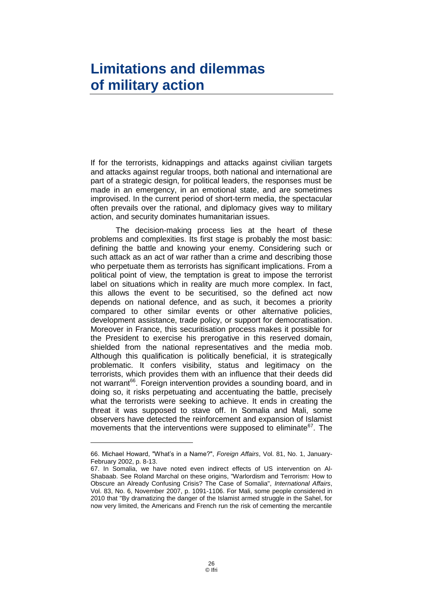### <span id="page-27-0"></span>**Limitations and dilemmas of military action**

If for the terrorists, kidnappings and attacks against civilian targets and attacks against regular troops, both national and international are part of a strategic design, for political leaders, the responses must be made in an emergency, in an emotional state, and are sometimes improvised. In the current period of short-term media, the spectacular often prevails over the rational, and diplomacy gives way to military action, and security dominates humanitarian issues.

The decision-making process lies at the heart of these problems and complexities. Its first stage is probably the most basic: defining the battle and knowing your enemy. Considering such or such attack as an act of war rather than a crime and describing those who perpetuate them as terrorists has significant implications. From a political point of view, the temptation is great to impose the terrorist label on situations which in reality are much more complex. In fact, this allows the event to be securitised, so the defined act now depends on national defence, and as such, it becomes a priority compared to other similar events or other alternative policies, development assistance, trade policy, or support for democratisation. Moreover in France, this securitisation process makes it possible for the President to exercise his prerogative in this reserved domain, shielded from the national representatives and the media mob. Although this qualification is politically beneficial, it is strategically problematic. It confers visibility, status and legitimacy on the terrorists, which provides them with an influence that their deeds did not warrant<sup>66</sup>. Foreign intervention provides a sounding board, and in doing so, it risks perpetuating and accentuating the battle, precisely what the terrorists were seeking to achieve. It ends in creating the threat it was supposed to stave off. In Somalia and Mali, some observers have detected the reinforcement and expansion of Islamist movements that the interventions were supposed to eliminate $^{67}$ . The

<sup>66.</sup> Michael Howard, "What's in a Name?", *Foreign Affairs*, Vol. 81, No. 1, January-February 2002, p. 8-13.

<sup>67.</sup> In Somalia, we have noted even indirect effects of US intervention on Al-Shabaab. See Roland Marchal on these origins, "Warlordism and Terrorism: How to Obscure an Already Confusing Crisis? The Case of Somalia", *International Affairs*, Vol. 83, No. 6, November 2007, p. 1091-1106. For Mali, some people considered in 2010 that "By dramatizing the danger of the Islamist armed struggle in the Sahel, for now very limited, the Americans and French run the risk of cementing the mercantile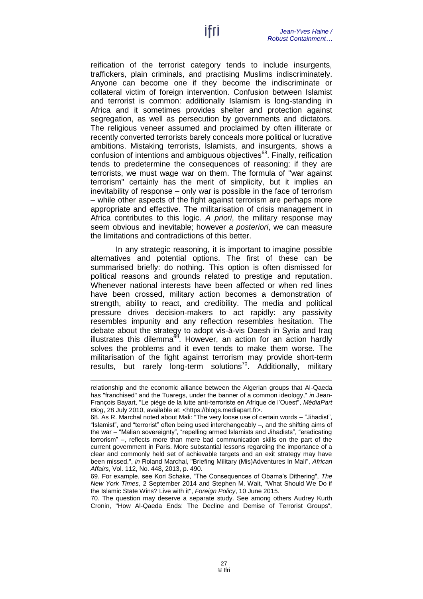reification of the terrorist category tends to include insurgents, traffickers, plain criminals, and practising Muslims indiscriminately. Anyone can become one if they become the indiscriminate or collateral victim of foreign intervention. Confusion between Islamist and terrorist is common: additionally Islamism is long-standing in Africa and it sometimes provides shelter and protection against segregation, as well as persecution by governments and dictators. The religious veneer assumed and proclaimed by often illiterate or recently converted terrorists barely conceals more political or lucrative ambitions. Mistaking terrorists, Islamists, and insurgents, shows a confusion of intentions and ambiguous objectives<sup>68</sup>. Finally, reification tends to predetermine the consequences of reasoning: if they are terrorists, we must wage war on them. The formula of "war against terrorism" certainly has the merit of simplicity, but it implies an inevitability of response – only war is possible in the face of terrorism – while other aspects of the fight against terrorism are perhaps more appropriate and effective. The militarisation of crisis management in Africa contributes to this logic. *A priori*, the military response may seem obvious and inevitable; however *a posteriori*, we can measure the limitations and contradictions of this better.

In any strategic reasoning, it is important to imagine possible alternatives and potential options. The first of these can be summarised briefly: do nothing. This option is often dismissed for political reasons and grounds related to prestige and reputation. Whenever national interests have been affected or when red lines have been crossed, military action becomes a demonstration of strength, ability to react, and credibility. The media and political pressure drives decision-makers to act rapidly: any passivity resembles impunity and any reflection resembles hesitation. The debate about the strategy to adopt vis-à-vis Daesh in Syria and Iraq illustrates this dilemma<sup> $69$ </sup>. However, an action for an action hardly solves the problems and it even tends to make them worse. The militarisation of the fight against terrorism may provide short-term results, but rarely long-term solutions<sup>70</sup>. Additionally, military

-

70. The question may deserve a separate study. See among others Audrey Kurth Cronin, "How Al-Qaeda Ends: The Decline and Demise of Terrorist Groups",

relationship and the economic alliance between the Algerian groups that Al-Qaeda has "franchised" and the Tuaregs, under the banner of a common ideology," *in* Jean-François Bayart, "Le piège de la lutte anti-terroriste en Afrique de l'Ouest", *MédiaPart Blog*, 28 July 2010, available at: [<https://blogs.mediapart.fr>](https://blogs.mediapart.fr/jean-francois-bayart/blog/280710/le-piege-de-la-lutte-anti-terroriste-en-afrique-de-louest).

<sup>68.</sup> As R. Marchal noted about Mali: "The very loose use of certain words – "Jihadist", "Islamist", and "terrorist" often being used interchangeably –, and the shifting aims of the war – "Malian sovereignty", "repelling armed Islamists and Jihadists", "eradicating terrorism" –, reflects more than mere bad communication skills on the part of the current government in Paris. More substantial lessons regarding the importance of a clear and commonly held set of achievable targets and an exit strategy may have been missed.", *in* Roland Marchal, "Briefing Military (Mis)Adventures In Mali", *African Affairs*, Vol. 112, No. 448, 2013, p. 490.

<sup>69.</sup> For example, see Kori Schake, "The Consequences of Obama's Dithering", *The New York Times*, 2 September 2014 and Stephen M. Walt, "What Should We Do if the Islamic State Wins? Live with it", *Foreign Policy*, 10 June 2015.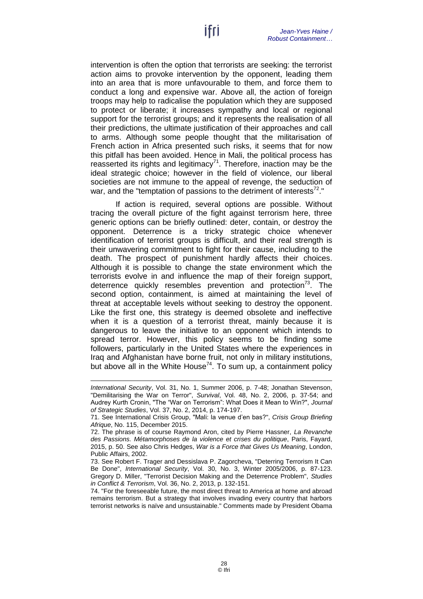intervention is often the option that terrorists are seeking: the terrorist action aims to provoke intervention by the opponent, leading them into an area that is more unfavourable to them, and force them to conduct a long and expensive war. Above all, the action of foreign troops may help to radicalise the population which they are supposed to protect or liberate; it increases sympathy and local or regional support for the terrorist groups; and it represents the realisation of all their predictions, the ultimate justification of their approaches and call to arms. Although some people thought that the militarisation of French action in Africa presented such risks, it seems that for now this pitfall has been avoided. Hence in Mali, the political process has reasserted its rights and legitimacy<sup>71</sup>. Therefore, inaction may be the ideal strategic choice; however in the field of violence, our liberal societies are not immune to the appeal of revenge, the seduction of war, and the "temptation of passions to the detriment of interests<sup>72</sup>."

If action is required, several options are possible. Without tracing the overall picture of the fight against terrorism here, three generic options can be briefly outlined: deter, contain, or destroy the opponent. Deterrence is a tricky strategic choice whenever identification of terrorist groups is difficult, and their real strength is their unwavering commitment to fight for their cause, including to the death. The prospect of punishment hardly affects their choices. Although it is possible to change the state environment which the terrorists evolve in and influence the map of their foreign support, deterrence quickly resembles prevention and protection<sup>73</sup>. The second option, containment, is aimed at maintaining the level of threat at acceptable levels without seeking to destroy the opponent. Like the first one, this strategy is deemed obsolete and ineffective when it is a question of a terrorist threat, mainly because it is dangerous to leave the initiative to an opponent which intends to spread terror. However, this policy seems to be finding some followers, particularly in the United States where the experiences in Iraq and Afghanistan have borne fruit, not only in military institutions, but above all in the White House<sup>74</sup>. To sum up, a containment policy

*International Security*, Vol. 31, No. 1, Summer 2006, p. 7-48; Jonathan Stevenson, "Demilitarising the War on Terror", *Survival*, Vol. 48, No. 2, 2006, p. 37-54; and Audrey Kurth Cronin, "The "War on Terrorism": What Does it Mean to Win?", *Journal of Strategic Studies*, Vol. 37, No. 2, 2014, p. 174-197.

<sup>71.</sup> See International Crisis Group, "Mali: la venue d'en bas?", *Crisis Group Briefing Afrique*, No. 115, December 2015.

<sup>72.</sup> The phrase is of course Raymond Aron, cited by Pierre Hassner, *La Revanche des Passions. Métamorphoses de la violence et crises du politique*, Paris, Fayard, 2015, p. 50. See also Chris Hedges, *War is a Force that Gives Us Meaning*, London, Public Affairs, 2002.

<sup>73.</sup> See Robert F. Trager and Dessislava P. Zagorcheva, "Deterring Terrorism It Can Be Done", *International Security*, Vol. 30, No. 3, Winter 2005/2006, p. 87-123. Gregory D. Miller, "Terrorist Decision Making and the Deterrence Problem", *Studies in Conflict & Terrorism*, Vol. 36, No. 2, 2013, p. 132-151.

<sup>74.</sup> "For the foreseeable future, the most direct threat to America at home and abroad remains terrorism. But a strategy that involves invading every country that harbors terrorist networks is naïve and unsustainable." Comments made by President Obama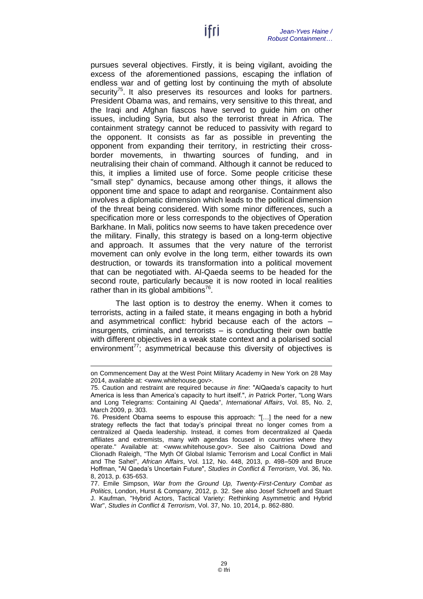pursues several objectives. Firstly, it is being vigilant, avoiding the excess of the aforementioned passions, escaping the inflation of endless war and of getting lost by continuing the myth of absolute security<sup>75</sup>. It also preserves its resources and looks for partners. President Obama was, and remains, very sensitive to this threat, and the Iraqi and Afghan fiascos have served to guide him on other issues, including Syria, but also the terrorist threat in Africa. The containment strategy cannot be reduced to passivity with regard to the opponent. It consists as far as possible in preventing the opponent from expanding their territory, in restricting their crossborder movements, in thwarting sources of funding, and in neutralising their chain of command. Although it cannot be reduced to this, it implies a limited use of force. Some people criticise these "small step" dynamics, because among other things, it allows the opponent time and space to adapt and reorganise. Containment also involves a diplomatic dimension which leads to the political dimension of the threat being considered. With some minor differences, such a specification more or less corresponds to the objectives of Operation Barkhane. In Mali, politics now seems to have taken precedence over the military. Finally, this strategy is based on a long-term objective and approach. It assumes that the very nature of the terrorist movement can only evolve in the long term, either towards its own destruction, or towards its transformation into a political movement that can be negotiated with. Al-Qaeda seems to be headed for the second route, particularly because it is now rooted in local realities rather than in its global ambitions<sup>76</sup>.

The last option is to destroy the enemy. When it comes to terrorists, acting in a failed state, it means engaging in both a hybrid and asymmetrical conflict: hybrid because each of the actors – insurgents, criminals, and terrorists – is conducting their own battle with different objectives in a weak state context and a polarised social environment<sup> $77$ </sup>; asymmetrical because this diversity of objectives is

on Commencement Day at the West Point Military Academy in New York on 28 May 2014, available at: [<www.whitehouse.gov>](https://www.whitehouse.gov/the-press-office/2014/05/28/remarks-president-united-states-military-academy-commencement-ceremony).

<sup>75.</sup> Caution and restraint are required because *in fine*: "AlQaeda's capacity to hurt America is less than America's capacity to hurt itself.", *in* Patrick Porter, "Long Wars and Long Telegrams: Containing Al Qaeda", *International Affairs*, Vol. 85, No. 2, March 2009, p. 303.

<sup>76.</sup> President Obama seems to espouse this approach: "[…] the need for a new strategy reflects the fact that today's principal threat no longer comes from a centralized al Qaeda leadership. Instead, it comes from decentralized al Qaeda affiliates and extremists, many with agendas focused in countries where they operate." Available at: [<www.whitehouse.gov>](https://www.whitehouse.gov/the-press-office/2014/05/28/remarks-president-united-states-military-academy-commencement-ceremony). See also Caitriona Dowd and Clionadh Raleigh, "The Myth Of Global Islamic Terrorism and Local Conflict in Mali and The Sahel", *African Affairs*, Vol. 112, No. 448, 2013, p. 498–509 and Bruce Hoffman, "Al Qaeda's Uncertain Future", *Studies in Conflict & Terrorism*, Vol. 36, No. 8, 2013, p. 635-653.

<sup>77.</sup> Emile Simpson, *War from the Ground Up, Twenty-First-Century Combat as Politics*, London, Hurst & Company, 2012, p. 32. See also Josef Schroefl and Stuart J. Kaufman, "Hybrid Actors, Tactical Variety: Rethinking Asymmetric and Hybrid War", *Studies in Conflict & Terrorism*, Vol. 37, No. 10, 2014, p. 862-880.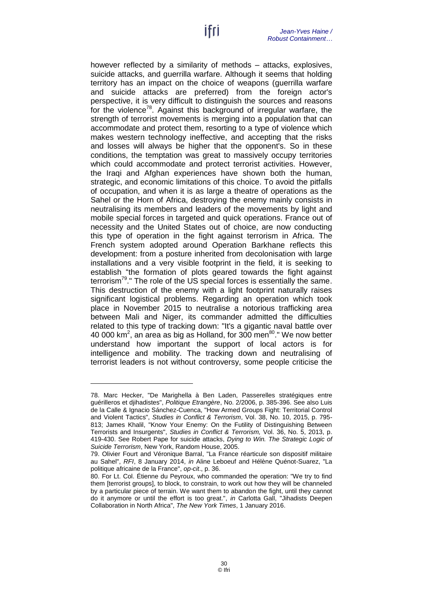however reflected by a similarity of methods – attacks, explosives, suicide attacks, and guerrilla warfare. Although it seems that holding territory has an impact on the choice of weapons (guerrilla warfare and suicide attacks are preferred) from the foreign actor's perspective, it is very difficult to distinguish the sources and reasons for the violence<sup>78</sup>. Against this background of irregular warfare, the strength of terrorist movements is merging into a population that can accommodate and protect them, resorting to a type of violence which makes western technology ineffective, and accepting that the risks and losses will always be higher that the opponent's. So in these conditions, the temptation was great to massively occupy territories which could accommodate and protect terrorist activities. However, the Iraqi and Afghan experiences have shown both the human, strategic, and economic limitations of this choice. To avoid the pitfalls of occupation, and when it is as large a theatre of operations as the Sahel or the Horn of Africa, destroying the enemy mainly consists in neutralising its members and leaders of the movements by light and mobile special forces in targeted and quick operations. France out of necessity and the United States out of choice, are now conducting this type of operation in the fight against terrorism in Africa. The French system adopted around Operation Barkhane reflects this development: from a posture inherited from decolonisation with large installations and a very visible footprint in the field, it is seeking to establish "the formation of plots geared towards the fight against terrorism<sup>79</sup>." The role of the US special forces is essentially the same. This destruction of the enemy with a light footprint naturally raises significant logistical problems. Regarding an operation which took place in November 2015 to neutralise a notorious trafficking area between Mali and Niger, its commander admitted the difficulties related to this type of tracking down: "It's a gigantic naval battle over 40 000 km<sup>2</sup>, an area as big as Holland, for 300 men $^{80}$ ." We now better understand how important the support of local actors is for intelligence and mobility. The tracking down and neutralising of terrorist leaders is not without controversy, some people criticise the

<sup>78.</sup> Marc Hecker, "De Marighella à Ben Laden, Passerelles stratégiques entre guérilleros et djihadistes", *Politique Etrangère*, No. 2/2006, p. 385-396. See also Luis de la Calle & Ignacio Sánchez-Cuenca, "How Armed Groups Fight: Territorial Control and Violent Tactics", *Studies in Conflict & Terrorism*, Vol. 38, No. 10, 2015, p. 795- 813; James Khalil, "Know Your Enemy: On the Futility of Distinguishing Between Terrorists and Insurgents", *Studies in Conflict & Terrorism,* Vol. 36, No. 5, 2013, p. 419-430. See Robert Pape for suicide attacks, *Dying to Win. The Strategic Logic of Suicide Terrorism*, New York, Random House, 2005.

<sup>79.</sup> Olivier Fourt and Véronique Barral, "La France réarticule son dispositif militaire au Sahel", *RFI*, 8 January 2014, *in* Aline Leboeuf and Hélène Quénot-Suarez, "La politique africaine de la France", *op-cit*., p. 36.

<sup>80.</sup> For Lt. Col. Étienne du Peyroux, who commanded the operation: "We try to find them [terrorist groups], to block, to constrain, to work out how they will be channeled by a particular piece of terrain. We want them to abandon the fight, until they cannot do it anymore or until the effort is too great.", *in* Carlotta Gall, "Jihadists Deepen Collaboration in North Africa", *The New York Times*, 1 January 2016.